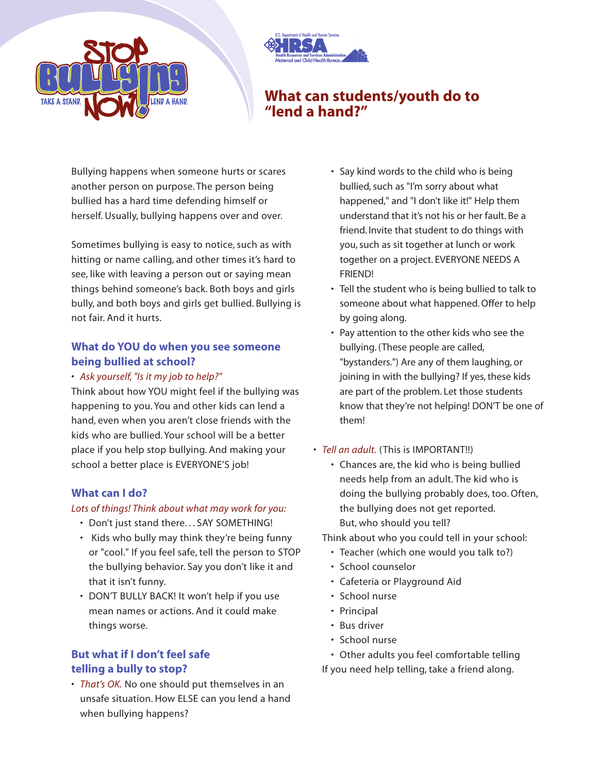



# **What can students/youth do to "lend a hand?"**

Bullying happens when someone hurts or scares another person on purpose. The person being bullied has a hard time defending himself or herself. Usually, bullying happens over and over.

Sometimes bullying is easy to notice, such as with hitting or name calling, and other times it's hard to see, like with leaving a person out or saying mean things behind someone's back. Both boys and girls bully, and both boys and girls get bullied. Bullying is not fair. And it hurts.

### **What do YOU do when you see someone being bullied at school?**

#### • *Ask yourself, "Is it my job to help?"*

Think about how YOU might feel if the bullying was happening to you. You and other kids can lend a hand, even when you aren't close friends with the kids who are bullied. Your school will be a better place if you help stop bullying. And making your school a better place is EVERYONE'S job!

#### **What can I do?**

#### *Lots of things! Think about what may work for you:*

- Don't just stand there. . . SAY SOMETHING!
- Kids who bully may think they're being funny or "cool." If you feel safe, tell the person to STOP the bullying behavior. Say you don't like it and that it isn't funny.
- DON'T BULLY BACK! It won't help if you use mean names or actions. And it could make things worse.

## **But what if I don't feel safe telling a bully to stop?**

• *That's OK.* No one should put themselves in an unsafe situation. How ELSE can you lend a hand when bullying happens?

- Say kind words to the child who is being bullied, such as "I'm sorry about what happened," and "I don't like it!" Help them understand that it's not his or her fault. Be a friend. Invite that student to do things with you, such as sit together at lunch or work together on a project. EVERYONE NEEDS A FRIEND!
- Tell the student who is being bullied to talk to someone about what happened. Offer to help by going along.
- Pay attention to the other kids who see the bullying. (These people are called, "bystanders.") Are any of them laughing, or joining in with the bullying? If yes, these kids are part of the problem. Let those students know that they're not helping! DON'T be one of them!
- *Tell an adult.* (This is IMPORTANT!!)
	- Chances are, the kid who is being bullied needs help from an adult. The kid who is doing the bullying probably does, too. Often, the bullying does not get reported. But, who should you tell?

Think about who you could tell in your school:

- Teacher (which one would you talk to?)
- School counselor
- Cafeteria or Playground Aid
- School nurse
- Principal
- Bus driver
- School nurse

• Other adults you feel comfortable telling If you need help telling, take a friend along.